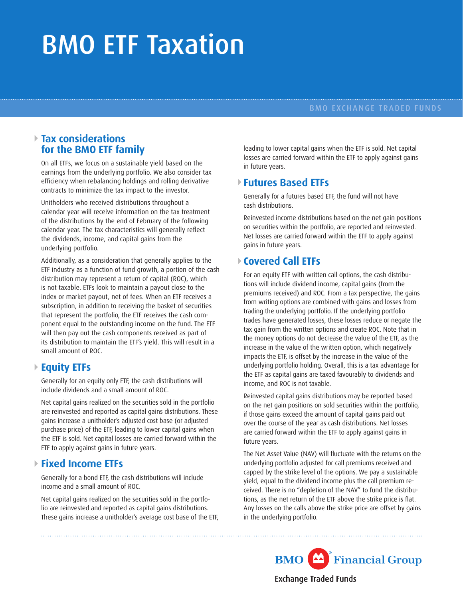# BMO ETF Taxation

#### BMO EXCHANGE TRADED FUNDS

#### **Tax considerations for the BMO ETF family**

On all ETFs, we focus on a sustainable yield based on the earnings from the underlying portfolio. We also consider tax efficiency when rebalancing holdings and rolling derivative contracts to minimize the tax impact to the investor.

Unitholders who received distributions throughout a calendar year will receive information on the tax treatment of the distributions by the end of February of the following calendar year. The tax characteristics will generally reflect the dividends, income, and capital gains from the underlying portfolio.

Additionally, as a consideration that generally applies to the ETF industry as a function of fund growth, a portion of the cash distribution may represent a return of capital (ROC), which is not taxable. ETFs look to maintain a payout close to the index or market payout, net of fees. When an ETF receives a subscription, in addition to receiving the basket of securities that represent the portfolio, the ETF receives the cash component equal to the outstanding income on the fund. The ETF will then pay out the cash components received as part of its distribution to maintain the ETF's yield. This will result in a small amount of ROC.

#### **Equity ETFs**

Generally for an equity only ETF, the cash distributions will include dividends and a small amount of ROC.

Net capital gains realized on the securities sold in the portfolio are reinvested and reported as capital gains distributions. These gains increase a unitholder's adjusted cost base (or adjusted purchase price) of the ETF, leading to lower capital gains when the ETF is sold. Net capital losses are carried forward within the ETF to apply against gains in future years.

### **Fixed Income ETFs**

Generally for a bond ETF, the cash distributions will include income and a small amount of ROC.

Net capital gains realized on the securities sold in the portfolio are reinvested and reported as capital gains distributions. These gains increase a unitholder's average cost base of the ETF, leading to lower capital gains when the ETF is sold. Net capital losses are carried forward within the ETF to apply against gains in future years.

### **Futures Based ETFs**

Generally for a futures based ETF, the fund will not have cash distributions.

Reinvested income distributions based on the net gain positions on securities within the portfolio, are reported and reinvested. Net losses are carried forward within the ETF to apply against gains in future years.

## **Covered Call ETFs**

For an equity ETF with written call options, the cash distributions will include dividend income, capital gains (from the premiums received) and ROC. From a tax perspective, the gains from writing options are combined with gains and losses from trading the underlying portfolio. If the underlying portfolio trades have generated losses, these losses reduce or negate the tax gain from the written options and create ROC. Note that in the money options do not decrease the value of the ETF, as the increase in the value of the written option, which negatively impacts the ETF, is offset by the increase in the value of the underlying portfolio holding. Overall, this is a tax advantage for the ETF as capital gains are taxed favourably to dividends and income, and ROC is not taxable.

Reinvested capital gains distributions may be reported based on the net gain positions on sold securities within the portfolio, if those gains exceed the amount of capital gains paid out over the course of the year as cash distributions. Net losses are carried forward within the ETF to apply against gains in future years.

The Net Asset Value (NAV) will fluctuate with the returns on the underlying portfolio adjusted for call premiums received and capped by the strike level of the options. We pay a sustainable yield, equal to the dividend income plus the call premium received. There is no "depletion of the NAV" to fund the distributions, as the net return of the ETF above the strike price is flat. Any losses on the calls above the strike price are offset by gains in the underlying portfolio.